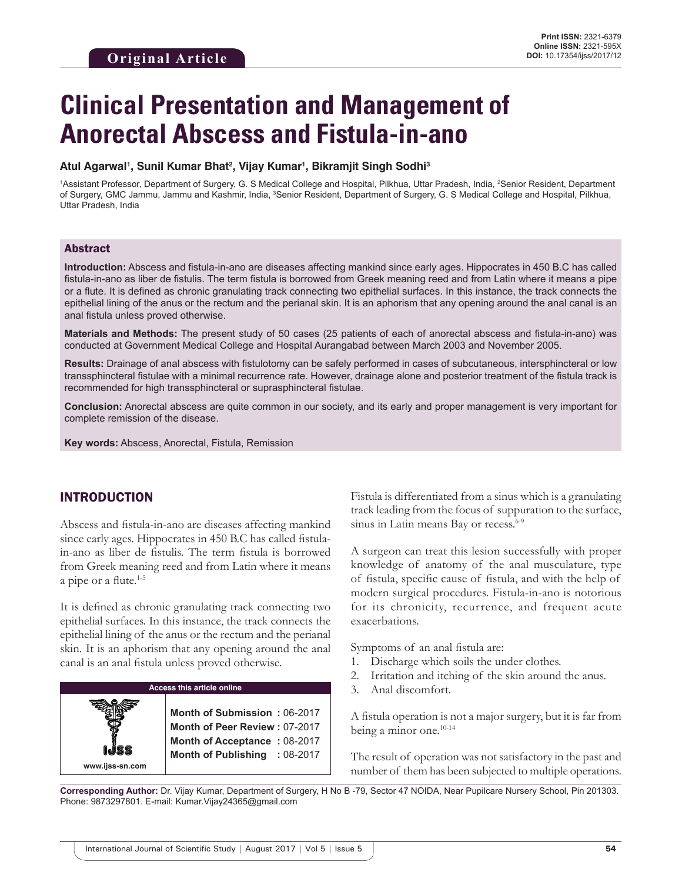# **Clinical Presentation and Management of Anorectal Abscess and Fistula-in-ano**

#### Atul Agarwal<sup>ı</sup>, Sunil Kumar Bhat<sup>2</sup>, Vijay Kumar<sup>ı</sup>, Bikramjit Singh Sodhi<sup>3</sup>

1Assistant Professor, Department of Surgery, G. S Medical College and Hospital, Pilkhua, Uttar Pradesh, India, 2Senior Resident, Department of Surgery, GMC Jammu, Jammu and Kashmir, India, <sup>3</sup>Senior Resident, Department of Surgery, G. S Medical College and Hospital, Pilkhua, Uttar Pradesh, India

## Abstract

**Introduction:** Abscess and fistula-in-ano are diseases affecting mankind since early ages. Hippocrates in 450 B.C has called fistula-in-ano as liber de fistulis. The term fistula is borrowed from Greek meaning reed and from Latin where it means a pipe or a flute. It is defined as chronic granulating track connecting two epithelial surfaces. In this instance, the track connects the epithelial lining of the anus or the rectum and the perianal skin. It is an aphorism that any opening around the anal canal is an anal fistula unless proved otherwise.

**Materials and Methods:** The present study of 50 cases (25 patients of each of anorectal abscess and fistula-in-ano) was conducted at Government Medical College and Hospital Aurangabad between March 2003 and November 2005.

**Results:** Drainage of anal abscess with fistulotomy can be safely performed in cases of subcutaneous, intersphincteral or low transsphincteral fistulae with a minimal recurrence rate. However, drainage alone and posterior treatment of the fistula track is recommended for high transsphincteral or suprasphincteral fistulae.

**Conclusion:** Anorectal abscess are quite common in our society, and its early and proper management is very important for complete remission of the disease.

**Key words:** Abscess, Anorectal, Fistula, Remission

# INTRODUCTION

**www.ijss-sn.com**

Abscess and fistula-in-ano are diseases affecting mankind since early ages. Hippocrates in 450 B.C has called fistulain-ano as liber de fistulis. The term fistula is borrowed from Greek meaning reed and from Latin where it means a pipe or a flute.1-5

It is defined as chronic granulating track connecting two epithelial surfaces. In this instance, the track connects the epithelial lining of the anus or the rectum and the perianal skin. It is an aphorism that any opening around the anal canal is an anal fistula unless proved otherwise.

#### **Access this article online**

**Month of Submission :** 06-2017 **Month of Peer Review :** 07-2017 **Month of Acceptance :** 08-2017 **Month of Publishing :** 08-2017 Fistula is differentiated from a sinus which is a granulating track leading from the focus of suppuration to the surface, sinus in Latin means Bay or recess.<sup>6-9</sup>

A surgeon can treat this lesion successfully with proper knowledge of anatomy of the anal musculature, type of fistula, specific cause of fistula, and with the help of modern surgical procedures. Fistula-in-ano is notorious for its chronicity, recurrence, and frequent acute exacerbations.

Symptoms of an anal fistula are:

- 1. Discharge which soils the under clothes.
- 2. Irritation and itching of the skin around the anus.
- 3. Anal discomfort.

A fistula operation is not a major surgery, but it is far from being a minor one.<sup>10-14</sup>

The result of operation was not satisfactory in the past and number of them has been subjected to multiple operations.

**Corresponding Author:** Dr. Vijay Kumar, Department of Surgery, H No B -79, Sector 47 NOIDA, Near Pupilcare Nursery School, Pin 201303. Phone: 9873297801. E-mail: Kumar.Vijay24365@gmail.com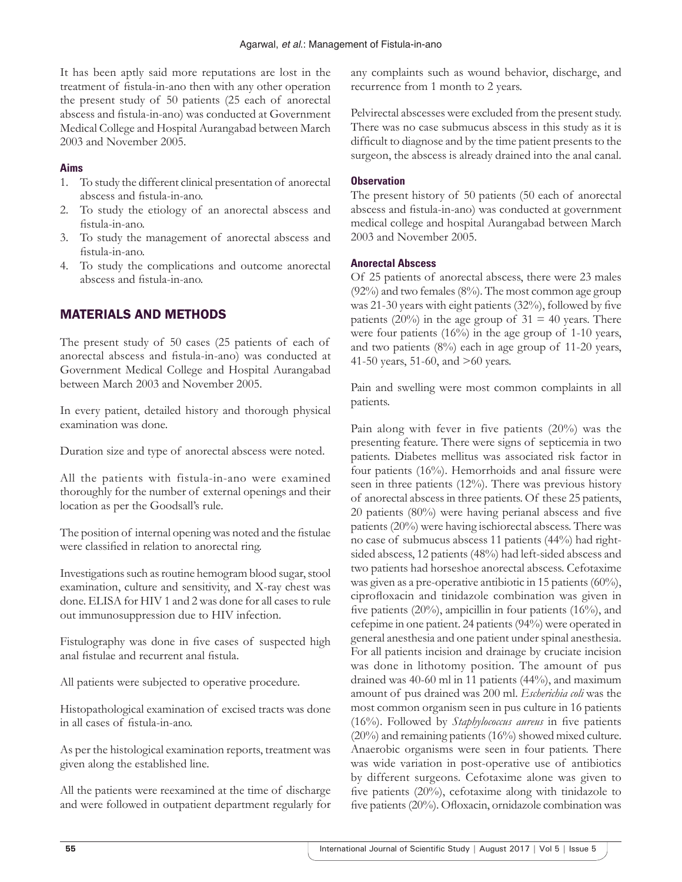It has been aptly said more reputations are lost in the treatment of fistula-in-ano then with any other operation the present study of 50 patients (25 each of anorectal abscess and fistula-in-ano) was conducted at Government Medical College and Hospital Aurangabad between March 2003 and November 2005.

## **Aims**

- 1. To study the different clinical presentation of anorectal abscess and fistula-in-ano.
- 2. To study the etiology of an anorectal abscess and fistula-in-ano.
- 3. To study the management of anorectal abscess and fistula-in-ano.
- 4. To study the complications and outcome anorectal abscess and fistula-in-ano.

# MATERIALS AND METHODS

The present study of 50 cases (25 patients of each of anorectal abscess and fistula-in-ano) was conducted at Government Medical College and Hospital Aurangabad between March 2003 and November 2005.

In every patient, detailed history and thorough physical examination was done.

Duration size and type of anorectal abscess were noted.

All the patients with fistula-in-ano were examined thoroughly for the number of external openings and their location as per the Goodsall's rule.

The position of internal opening was noted and the fistulae were classified in relation to anorectal ring.

Investigations such as routine hemogram blood sugar, stool examination, culture and sensitivity, and X-ray chest was done. ELISA for HIV 1 and 2 was done for all cases to rule out immunosuppression due to HIV infection.

Fistulography was done in five cases of suspected high anal fistulae and recurrent anal fistula.

All patients were subjected to operative procedure.

Histopathological examination of excised tracts was done in all cases of fistula-in-ano.

As per the histological examination reports, treatment was given along the established line.

All the patients were reexamined at the time of discharge and were followed in outpatient department regularly for any complaints such as wound behavior, discharge, and recurrence from 1 month to 2 years.

Pelvirectal abscesses were excluded from the present study. There was no case submucus abscess in this study as it is difficult to diagnose and by the time patient presents to the surgeon, the abscess is already drained into the anal canal.

## **Observation**

The present history of 50 patients (50 each of anorectal abscess and fistula-in-ano) was conducted at government medical college and hospital Aurangabad between March 2003 and November 2005.

## **Anorectal Abscess**

Of 25 patients of anorectal abscess, there were 23 males (92%) and two females (8%). The most common age group was 21-30 years with eight patients (32%), followed by five patients (20%) in the age group of  $31 = 40$  years. There were four patients (16%) in the age group of 1-10 years, and two patients (8%) each in age group of 11-20 years, 41-50 years, 51-60, and >60 years.

Pain and swelling were most common complaints in all patients.

Pain along with fever in five patients (20%) was the presenting feature. There were signs of septicemia in two patients. Diabetes mellitus was associated risk factor in four patients (16%). Hemorrhoids and anal fissure were seen in three patients (12%). There was previous history of anorectal abscess in three patients. Of these 25 patients, 20 patients (80%) were having perianal abscess and five patients (20%) were having ischiorectal abscess. There was no case of submucus abscess 11 patients (44%) had rightsided abscess, 12 patients (48%) had left-sided abscess and two patients had horseshoe anorectal abscess. Cefotaxime was given as a pre-operative antibiotic in 15 patients (60%), ciprofloxacin and tinidazole combination was given in five patients (20%), ampicillin in four patients (16%), and cefepime in one patient. 24 patients (94%) were operated in general anesthesia and one patient under spinal anesthesia. For all patients incision and drainage by cruciate incision was done in lithotomy position. The amount of pus drained was 40-60 ml in 11 patients (44%), and maximum amount of pus drained was 200 ml. *Escherichia coli* was the most common organism seen in pus culture in 16 patients (16%). Followed by *Staphylococcus aureus* in five patients (20%) and remaining patients (16%) showed mixed culture. Anaerobic organisms were seen in four patients. There was wide variation in post-operative use of antibiotics by different surgeons. Cefotaxime alone was given to five patients (20%), cefotaxime along with tinidazole to five patients (20%). Ofloxacin, ornidazole combination was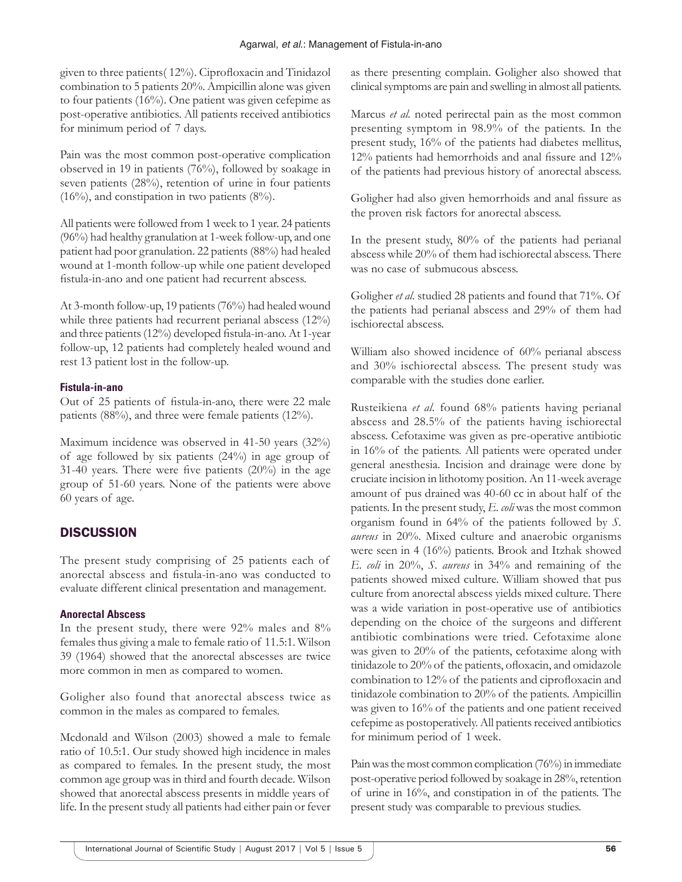given to three patients( 12%). Ciprofloxacin and Tinidazol combination to 5 patients 20%. Ampicillin alone was given to four patients (16%). One patient was given cefepime as post-operative antibiotics. All patients received antibiotics for minimum period of 7 days.

Pain was the most common post-operative complication observed in 19 in patients (76%), followed by soakage in seven patients (28%), retention of urine in four patients  $(16%)$ , and constipation in two patients  $(8%)$ .

All patients were followed from 1 week to 1 year. 24 patients (96%) had healthy granulation at 1-week follow-up, and one patient had poor granulation. 22 patients (88%) had healed wound at 1-month follow-up while one patient developed fistula-in-ano and one patient had recurrent abscess.

At 3-month follow-up, 19 patients (76%) had healed wound while three patients had recurrent perianal abscess (12%) and three patients (12%) developed fistula-in-ano. At 1-year follow-up, 12 patients had completely healed wound and rest 13 patient lost in the follow-up.

#### **Fistula-in-ano**

Out of 25 patients of fistula-in-ano, there were 22 male patients (88%), and three were female patients (12%).

Maximum incidence was observed in 41-50 years (32%) of age followed by six patients (24%) in age group of 31-40 years. There were five patients (20%) in the age group of 51-60 years. None of the patients were above 60 years of age.

## **DISCUSSION**

The present study comprising of 25 patients each of anorectal abscess and fistula-in-ano was conducted to evaluate different clinical presentation and management.

#### **Anorectal Abscess**

In the present study, there were 92% males and 8% females thus giving a male to female ratio of 11.5:1. Wilson 39 (1964) showed that the anorectal abscesses are twice more common in men as compared to women.

Goligher also found that anorectal abscess twice as common in the males as compared to females.

Mcdonald and Wilson (2003) showed a male to female ratio of 10.5:1. Our study showed high incidence in males as compared to females. In the present study, the most common age group was in third and fourth decade. Wilson showed that anorectal abscess presents in middle years of life. In the present study all patients had either pain or fever as there presenting complain. Goligher also showed that clinical symptoms are pain and swelling in almost all patients.

Marcus *et al.* noted perirectal pain as the most common presenting symptom in 98.9% of the patients. In the present study, 16% of the patients had diabetes mellitus, 12% patients had hemorrhoids and anal fissure and 12% of the patients had previous history of anorectal abscess.

Goligher had also given hemorrhoids and anal fissure as the proven risk factors for anorectal abscess.

In the present study, 80% of the patients had perianal abscess while 20% of them had ischiorectal abscess. There was no case of submucous abscess.

Goligher *et al.* studied 28 patients and found that 71%. Of the patients had perianal abscess and 29% of them had ischiorectal abscess.

William also showed incidence of 60% perianal abscess and 30% ischiorectal abscess. The present study was comparable with the studies done earlier.

Rusteikiena *et al.* found 68% patients having perianal abscess and 28.5% of the patients having ischiorectal abscess. Cefotaxime was given as pre-operative antibiotic in 16% of the patients. All patients were operated under general anesthesia. Incision and drainage were done by cruciate incision in lithotomy position. An 11-week average amount of pus drained was 40-60 cc in about half of the patients. In the present study, *E. coli* was the most common organism found in 64% of the patients followed by *S. aureus* in 20%. Mixed culture and anaerobic organisms were seen in 4 (16%) patients. Brook and Itzhak showed *E. coli* in 20%, *S. aureus* in 34% and remaining of the patients showed mixed culture. William showed that pus culture from anorectal abscess yields mixed culture. There was a wide variation in post-operative use of antibiotics depending on the choice of the surgeons and different antibiotic combinations were tried. Cefotaxime alone was given to 20% of the patients, cefotaxime along with tinidazole to 20% of the patients, ofloxacin, and omidazole combination to 12% of the patients and ciprofloxacin and tinidazole combination to 20% of the patients. Ampicillin was given to 16% of the patients and one patient received cefepime as postoperatively. All patients received antibiotics for minimum period of 1 week.

Pain was the most common complication (76%) in immediate post-operative period followed by soakage in 28%, retention of urine in 16%, and constipation in of the patients. The present study was comparable to previous studies.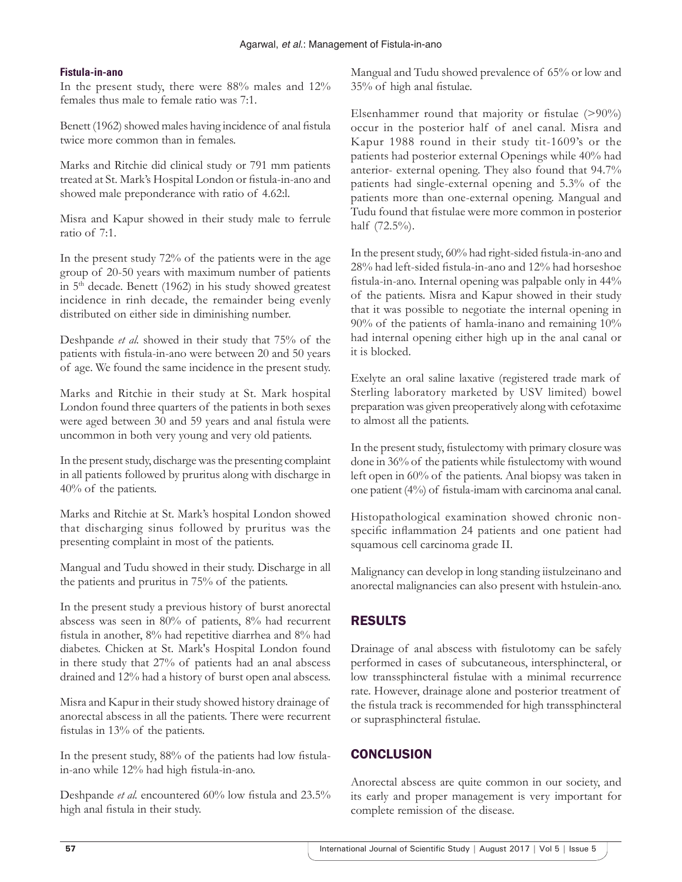#### **Fistula-in-ano**

In the present study, there were 88% males and 12% females thus male to female ratio was 7:1.

Benett (1962) showed males having incidence of anal fistula twice more common than in females.

Marks and Ritchie did clinical study or 791 mm patients treated at St. Mark's Hospital London or fistula-in-ano and showed male preponderance with ratio of 4.62:l.

Misra and Kapur showed in their study male to ferrule ratio of 7:1.

In the present study 72% of the patients were in the age group of 20-50 years with maximum number of patients in  $5<sup>th</sup>$  decade. Benett (1962) in his study showed greatest incidence in rinh decade, the remainder being evenly distributed on either side in diminishing number.

Deshpande *et al.* showed in their study that 75% of the patients with fistula-in-ano were between 20 and 50 years of age. We found the same incidence in the present study.

Marks and Ritchie in their study at St. Mark hospital London found three quarters of the patients in both sexes were aged between 30 and 59 years and anal fistula were uncommon in both very young and very old patients.

In the present study, discharge was the presenting complaint in all patients followed by pruritus along with discharge in 40% of the patients.

Marks and Ritchie at St. Mark's hospital London showed that discharging sinus followed by pruritus was the presenting complaint in most of the patients.

Mangual and Tudu showed in their study. Discharge in all the patients and pruritus in 75% of the patients.

In the present study a previous history of burst anorectal abscess was seen in 80% of patients, 8% had recurrent fistula in another, 8% had repetitive diarrhea and 8% had diabetes. Chicken at St. Mark's Hospital London found in there study that 27% of patients had an anal abscess drained and 12% had a history of burst open anal abscess.

Misra and Kapur in their study showed history drainage of anorectal abscess in all the patients. There were recurrent fistulas in 13% of the patients.

In the present study, 88% of the patients had low fistulain-ano while 12% had high fistula-in-ano.

Deshpande *et al.* encountered 60% low fistula and 23.5% high anal fistula in their study.

Mangual and Tudu showed prevalence of 65% or low and 35% of high anal fistulae.

Elsenhammer round that majority or fistulae (>90%) occur in the posterior half of anel canal. Misra and Kapur 1988 round in their study tit-1609's or the patients had posterior external Openings while 40% had anterior- external opening. They also found that 94.7% patients had single-external opening and 5.3% of the patients more than one-external opening. Mangual and Tudu found that fistulae were more common in posterior half (72.5%).

In the present study, 60% had right-sided fistula-in-ano and 28% had left-sided fistula-in-ano and 12% had horseshoe fistula-in-ano. Internal opening was palpable only in 44% of the patients. Misra and Kapur showed in their study that it was possible to negotiate the internal opening in 90% of the patients of hamla-inano and remaining 10% had internal opening either high up in the anal canal or it is blocked.

Exelyte an oral saline laxative (registered trade mark of Sterling laboratory marketed by USV limited) bowel preparation was given preoperatively along with cefotaxime to almost all the patients.

In the present study, fistulectomy with primary closure was done in 36% of the patients while fistulectomy with wound left open in 60% of the patients. Anal biopsy was taken in one patient (4%) of fistula-imam with carcinoma anal canal.

Histopathological examination showed chronic nonspecific inflammation 24 patients and one patient had squamous cell carcinoma grade II.

Malignancy can develop in long standing iistulzeinano and anorectal malignancies can also present with hstulein-ano.

# RESULTS

Drainage of anal abscess with fistulotomy can be safely performed in cases of subcutaneous, intersphincteral, or low transsphincteral fistulae with a minimal recurrence rate. However, drainage alone and posterior treatment of the fistula track is recommended for high transsphincteral or suprasphincteral fistulae.

# **CONCLUSION**

Anorectal abscess are quite common in our society, and its early and proper management is very important for complete remission of the disease.